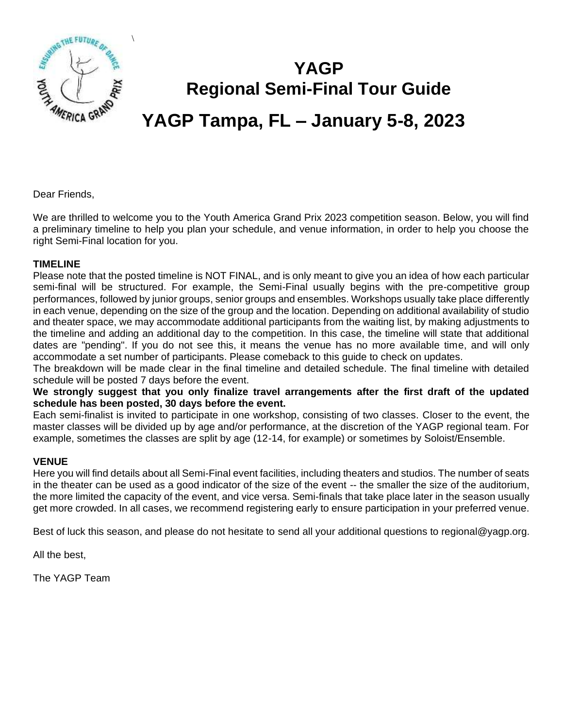

\

# **YAGP Regional Semi-Final Tour Guide YAGP Tampa, FL – January 5-8, 2023**

Dear Friends,

We are thrilled to welcome you to the Youth America Grand Prix 2023 competition season. Below, you will find a preliminary timeline to help you plan your schedule, and venue information, in order to help you choose the right Semi-Final location for you.

#### **TIMELINE**

Please note that the posted timeline is NOT FINAL, and is only meant to give you an idea of how each particular semi-final will be structured. For example, the Semi-Final usually begins with the pre-competitive group performances, followed by junior groups, senior groups and ensembles. Workshops usually take place differently in each venue, depending on the size of the group and the location. Depending on additional availability of studio and theater space, we may accommodate additional participants from the waiting list, by making adjustments to the timeline and adding an additional day to the competition. In this case, the timeline will state that additional dates are "pending". If you do not see this, it means the venue has no more available time, and will only accommodate a set number of participants. Please comeback to this guide to check on updates.

The breakdown will be made clear in the final timeline and detailed schedule. The final timeline with detailed schedule will be posted 7 days before the event.

**We strongly suggest that you only finalize travel arrangements after the first draft of the updated schedule has been posted, 30 days before the event.** 

Each semi-finalist is invited to participate in one workshop, consisting of two classes. Closer to the event, the master classes will be divided up by age and/or performance, at the discretion of the YAGP regional team. For example, sometimes the classes are split by age (12-14, for example) or sometimes by Soloist/Ensemble.

#### **VENUE**

Here you will find details about all Semi-Final event facilities, including theaters and studios. The number of seats in the theater can be used as a good indicator of the size of the event -- the smaller the size of the auditorium, the more limited the capacity of the event, and vice versa. Semi-finals that take place later in the season usually get more crowded. In all cases, we recommend registering early to ensure participation in your preferred venue.

Best of luck this season, and please do not hesitate to send all your additional questions to regional@yagp.org.

All the best,

The YAGP Team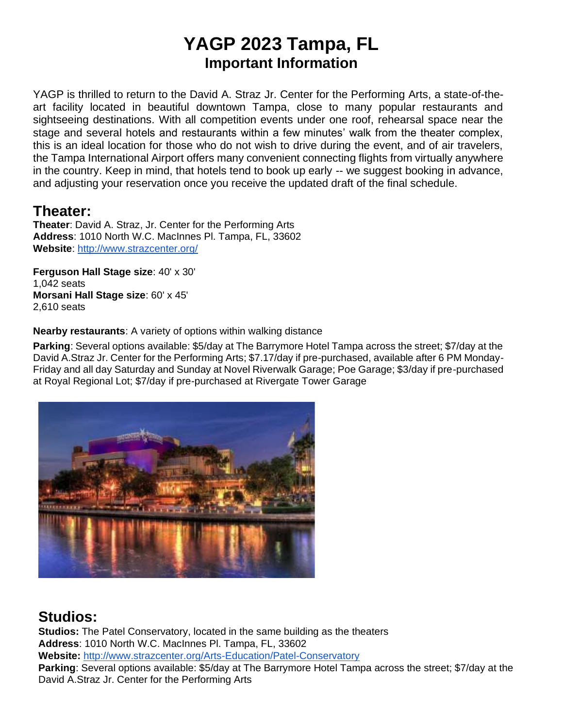## **YAGP 2023 Tampa, FL Important Information**

YAGP is thrilled to return to the David A. Straz Jr. Center for the Performing Arts, a state-of-theart facility located in beautiful downtown Tampa, close to many popular restaurants and sightseeing destinations. With all competition events under one roof, rehearsal space near the stage and several hotels and restaurants within a few minutes' walk from the theater complex, this is an ideal location for those who do not wish to drive during the event, and of air travelers, the Tampa International Airport offers many convenient connecting flights from virtually anywhere in the country. Keep in mind, that hotels tend to book up early -- we suggest booking in advance, and adjusting your reservation once you receive the updated draft of the final schedule.

### **Theater:**

**Theater**: David A. Straz, Jr. Center for the Performing Arts **Address**: 1010 North W.C. MacInnes Pl. Tampa, FL, 33602 **Website**:<http://www.strazcenter.org/>

**Ferguson Hall Stage size**: 40' x 30' 1,042 seats **Morsani Hall Stage size**: 60' x 45' 2,610 seats

**Nearby restaurants**: A variety of options within walking distance

**Parking**: Several options available: \$5/day at The Barrymore Hotel Tampa across the street; \$7/day at the David A.Straz Jr. Center for the Performing Arts; \$7.17/day if pre-purchased, available after 6 PM Monday-Friday and all day Saturday and Sunday at Novel Riverwalk Garage; Poe Garage; \$3/day if pre-purchased at Royal Regional Lot; \$7/day if pre-purchased at Rivergate Tower Garage



## **Studios:**

**Studios:** The Patel Conservatory, located in the same building as the theaters **Address**: 1010 North W.C. MacInnes Pl. Tampa, FL, 33602 **Website:** <http://www.strazcenter.org/Arts-Education/Patel-Conservatory> **Parking**: Several options available: \$5/day at The Barrymore Hotel Tampa across the street; \$7/day at the David A.Straz Jr. Center for the Performing Arts